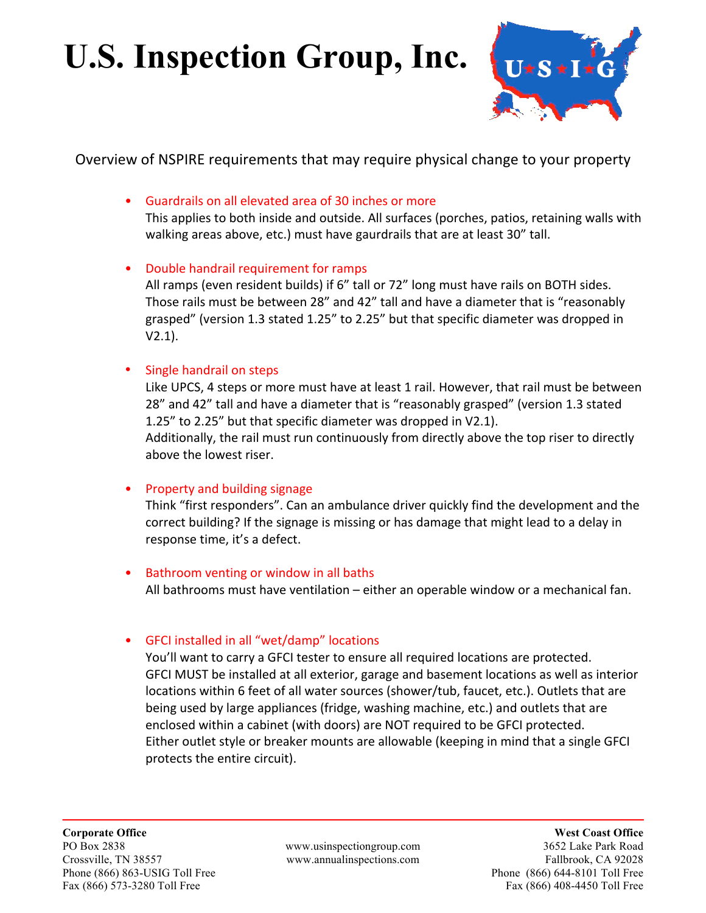# **U.S. Inspection Group, Inc.**



Overview of NSPIRE requirements that may require physical change to your property

• Guardrails on all elevated area of 30 inches or more

This applies to both inside and outside. All surfaces (porches, patios, retaining walls with walking areas above, etc.) must have gaurdrails that are at least 30" tall.

• Double handrail requirement for ramps

All ramps (even resident builds) if 6" tall or 72" long must have rails on BOTH sides. Those rails must be between 28" and 42" tall and have a diameter that is "reasonably grasped" (version 1.3 stated 1.25" to 2.25" but that specific diameter was dropped in V2.1).

• Single handrail on steps

Like UPCS, 4 steps or more must have at least 1 rail. However, that rail must be between 28" and 42" tall and have a diameter that is "reasonably grasped" (version 1.3 stated 1.25" to 2.25" but that specific diameter was dropped in V2.1). Additionally, the rail must run continuously from directly above the top riser to directly above the lowest riser.

**Property and building signage** 

Think "first responders". Can an ambulance driver quickly find the development and the correct building? If the signage is missing or has damage that might lead to a delay in response time, it's a defect.

- Bathroom venting or window in all baths All bathrooms must have ventilation  $-$  either an operable window or a mechanical fan.
- GFCI installed in all "wet/damp" locations

You'll want to carry a GFCI tester to ensure all required locations are protected. GFCI MUST be installed at all exterior, garage and basement locations as well as interior locations within 6 feet of all water sources (shower/tub, faucet, etc.). Outlets that are being used by large appliances (fridge, washing machine, etc.) and outlets that are enclosed within a cabinet (with doors) are NOT required to be GFCI protected. Either outlet style or breaker mounts are allowable (keeping in mind that a single GFCI protects the entire circuit).